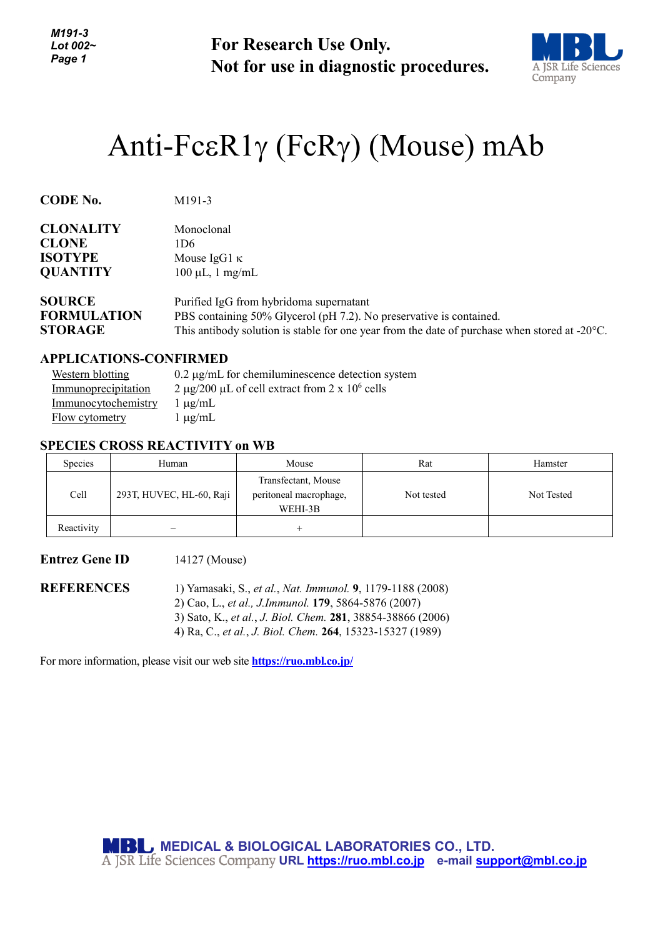**For Research Use Only. Not for use in diagnostic procedures.**



# Anti-FcεR1γ (FcRγ) (Mouse) mAb

| <b>CODE No.</b>    | M <sub>191</sub> -3                                                                                     |
|--------------------|---------------------------------------------------------------------------------------------------------|
| <b>CLONALITY</b>   | Monoclonal                                                                                              |
| <b>CLONE</b>       | 1D6                                                                                                     |
| <b>ISOTYPE</b>     | Mouse IgG1 $\kappa$                                                                                     |
| <b>QUANTITY</b>    | $100 \mu L$ , 1 mg/mL                                                                                   |
| <b>SOURCE</b>      | Purified IgG from hybridoma supernatant                                                                 |
| <b>FORMULATION</b> | PBS containing 50% Glycerol (pH 7.2). No preservative is contained.                                     |
| <b>STORAGE</b>     | This antibody solution is stable for one year from the date of purchase when stored at $-20^{\circ}$ C. |

#### **APPLICATIONS-CONFIRMED**

| Western blotting    | $0.2 \mu$ g/mL for chemiluminescence detection system |
|---------------------|-------------------------------------------------------|
| Immunoprecipitation | 2 µg/200 µL of cell extract from 2 x $10^6$ cells     |
| Immunocytochemistry | $1 \mu g/mL$                                          |
| Flow cytometry      | $1 \mu g/mL$                                          |

# **SPECIES CROSS REACTIVITY on WB**

| Species    | Human                    | Mouse                                                    | Rat        | Hamster    |
|------------|--------------------------|----------------------------------------------------------|------------|------------|
| Cell       | 293T, HUVEC, HL-60, Raji | Transfectant, Mouse<br>peritoneal macrophage,<br>WEHI-3B | Not tested | Not Tested |
| Reactivity |                          |                                                          |            |            |

# **Entrez Gene ID** 14127 (Mouse)

**REFERENCES** 1) Yamasaki, S., *et al.*, *Nat. Immunol.* **9**, 1179-1188 (2008) 2) Cao, L., *et al., J.Immunol.* **179**, 5864-5876 (2007) 3) Sato, K., *et al.*, *J. Biol. Chem.* **281**, 38854-38866 (2006) 4) Ra, C., *et al.*, *J. Biol. Chem.* **264**, 15323-15327 (1989)

For more information, please visit our web site **<https://ruo.mbl.co.jp/>**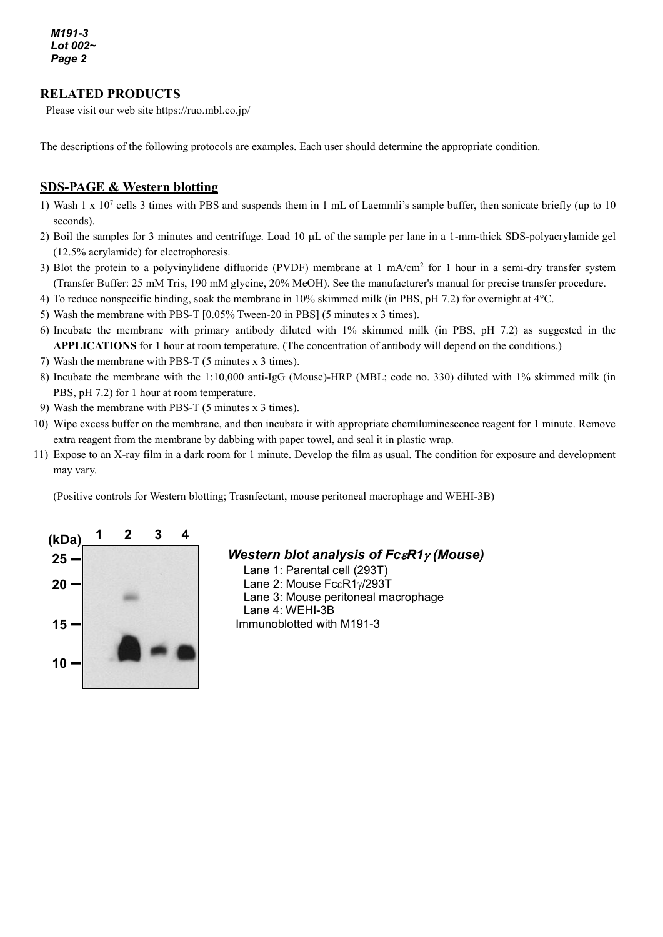# **RELATED PRODUCTS**

Please visit our web site https://ruo.mbl.co.jp/

The descriptions of the following protocols are examples. Each user should determine the appropriate condition.

# **SDS-PAGE & Western blotting**

- 1) Wash 1 x 107 cells 3 times with PBS and suspends them in 1 mL of Laemmli's sample buffer, then sonicate briefly (up to 10 seconds).
- 2) Boil the samples for 3 minutes and centrifuge. Load 10 µL of the sample per lane in a 1-mm-thick SDS-polyacrylamide gel (12.5% acrylamide) for electrophoresis.
- 3) Blot the protein to a polyvinylidene difluoride (PVDF) membrane at  $1 \text{ mA/cm}^2$  for 1 hour in a semi-dry transfer system (Transfer Buffer: 25 mM Tris, 190 mM glycine, 20% MeOH). See the manufacturer's manual for precise transfer procedure.
- 4) To reduce nonspecific binding, soak the membrane in 10% skimmed milk (in PBS, pH 7.2) for overnight at 4°C.
- 5) Wash the membrane with PBS-T [0.05% Tween-20 in PBS] (5 minutes x 3 times).
- 6) Incubate the membrane with primary antibody diluted with 1% skimmed milk (in PBS, pH 7.2) as suggested in the **APPLICATIONS** for 1 hour at room temperature. (The concentration of antibody will depend on the conditions.)
- 7) Wash the membrane with PBS-T (5 minutes x 3 times).
- 8) Incubate the membrane with the 1:10,000 anti-IgG (Mouse)-HRP (MBL; code no. 330) diluted with 1% skimmed milk (in PBS, pH 7.2) for 1 hour at room temperature.
- 9) Wash the membrane with PBS-T (5 minutes x 3 times).
- 10) Wipe excess buffer on the membrane, and then incubate it with appropriate chemiluminescence reagent for 1 minute. Remove extra reagent from the membrane by dabbing with paper towel, and seal it in plastic wrap.
- 11) Expose to an X-ray film in a dark room for 1 minute. Develop the film as usual. The condition for exposure and development may vary.

(Positive controls for Western blotting; Trasnfectant, mouse peritoneal macrophage and WEHI-3B)



# *Western blot analysis of Fc*ε*R1*<sup>γ</sup> *(Mouse)*

Lane 1: Parental cell (293T) Lane 2: Mouse FcεR1γ/293T Lane 3: Mouse peritoneal macrophage Lane 4: WEHI-3B Immunoblotted with M191-3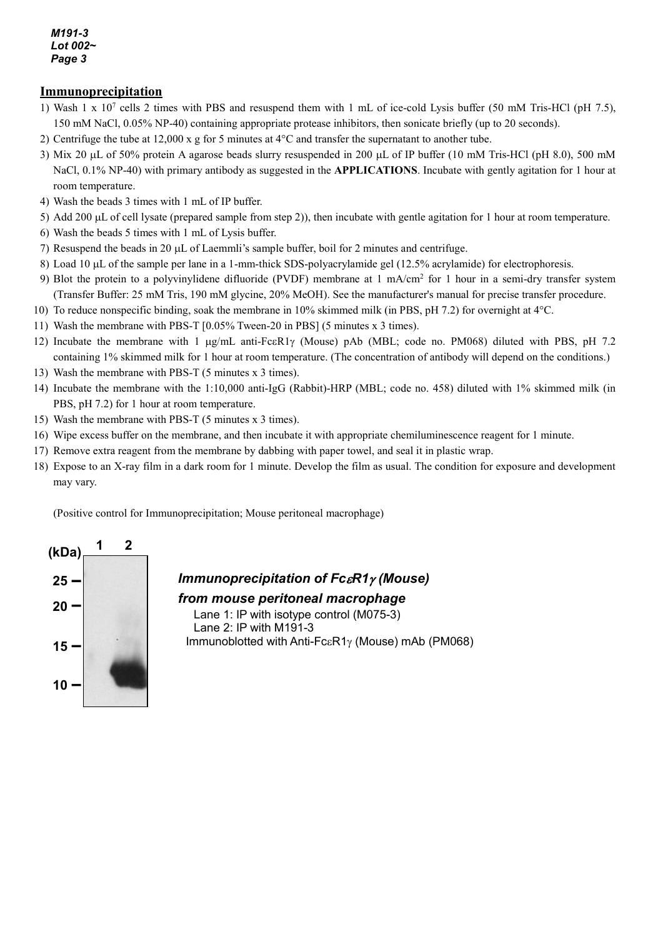*M191-3 Lot 002~ Page 3*

### **Immunoprecipitation**

- 1) Wash 1 x 107 cells 2 times with PBS and resuspend them with 1 mL of ice-cold Lysis buffer (50 mM Tris-HCl (pH 7.5), 150 mM NaCl, 0.05% NP-40) containing appropriate protease inhibitors, then sonicate briefly (up to 20 seconds).
- 2) Centrifuge the tube at 12,000 x g for 5 minutes at 4°C and transfer the supernatant to another tube.
- 3) Mix 20 µL of 50% protein A agarose beads slurry resuspended in 200 µL of IP buffer (10 mM Tris-HCl (pH 8.0), 500 mM NaCl, 0.1% NP-40) with primary antibody as suggested in the **APPLICATIONS**. Incubate with gently agitation for 1 hour at room temperature.
- 4) Wash the beads 3 times with 1 mL of IP buffer.
- 5) Add 200 µL of cell lysate (prepared sample from step 2)), then incubate with gentle agitation for 1 hour at room temperature.
- 6) Wash the beads 5 times with 1 mL of Lysis buffer.
- 7) Resuspend the beads in 20  $\mu$ L of Laemmli's sample buffer, boil for 2 minutes and centrifuge.
- 8) Load 10 µL of the sample per lane in a 1-mm-thick SDS-polyacrylamide gel (12.5% acrylamide) for electrophoresis.
- 9) Blot the protein to a polyvinylidene difluoride (PVDF) membrane at 1 mA/cm2 for 1 hour in a semi-dry transfer system (Transfer Buffer: 25 mM Tris, 190 mM glycine, 20% MeOH). See the manufacturer's manual for precise transfer procedure.
- 10) To reduce nonspecific binding, soak the membrane in 10% skimmed milk (in PBS, pH 7.2) for overnight at 4°C.
- 11) Wash the membrane with PBS-T [0.05% Tween-20 in PBS] (5 minutes x 3 times).
- 12) Incubate the membrane with 1 µg/mL anti-FcεR1γ (Mouse) pAb (MBL; code no. PM068) diluted with PBS, pH 7.2 containing 1% skimmed milk for 1 hour at room temperature. (The concentration of antibody will depend on the conditions.)
- 13) Wash the membrane with PBS-T (5 minutes x 3 times).
- 14) Incubate the membrane with the 1:10,000 anti-IgG (Rabbit)-HRP (MBL; code no. 458) diluted with 1% skimmed milk (in PBS, pH 7.2) for 1 hour at room temperature.
- 15) Wash the membrane with PBS-T (5 minutes x 3 times).
- 16) Wipe excess buffer on the membrane, and then incubate it with appropriate chemiluminescence reagent for 1 minute.
- 17) Remove extra reagent from the membrane by dabbing with paper towel, and seal it in plastic wrap.
- 18) Expose to an X-ray film in a dark room for 1 minute. Develop the film as usual. The condition for exposure and development may vary.

(Positive control for Immunoprecipitation; Mouse peritoneal macrophage)



# *Immunoprecipitation of Fc*ε*R1*<sup>γ</sup> *(Mouse)*

#### *from mouse peritoneal macrophage*

Lane 1: IP with isotype control (M075-3) Lane 2: IP with M191-3 Immunoblotted with Anti-FcεR1γ (Mouse) mAb (PM068)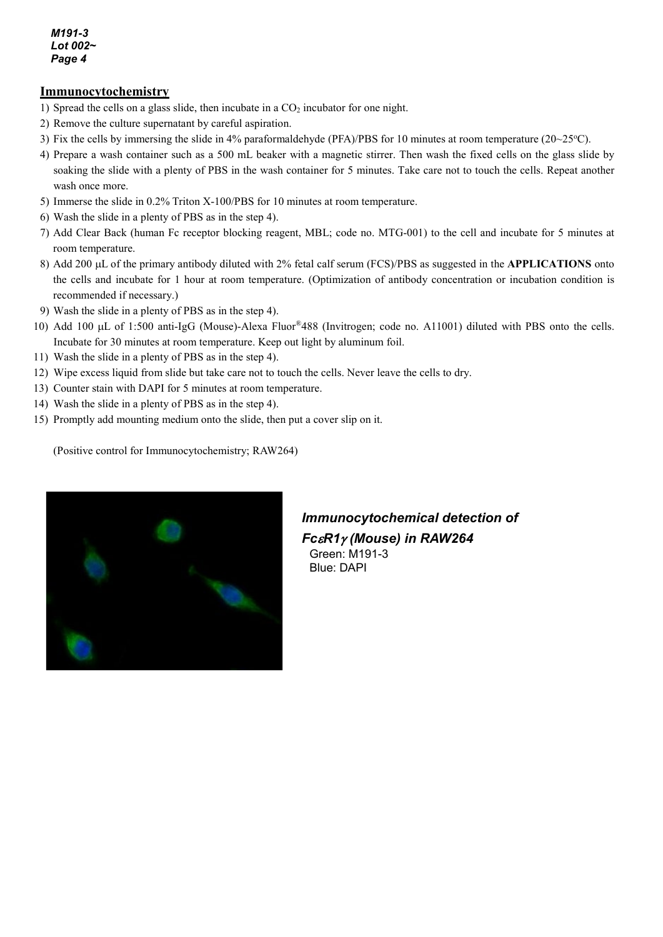*M191-3 Lot 002~ Page 4*

## **Immunocytochemistry**

- 1) Spread the cells on a glass slide, then incubate in a  $CO<sub>2</sub>$  incubator for one night.
- 2) Remove the culture supernatant by careful aspiration.
- 3) Fix the cells by immersing the slide in 4% paraformaldehyde (PFA)/PBS for 10 minutes at room temperature ( $20~25^{\circ}$ C).
- 4) Prepare a wash container such as a 500 mL beaker with a magnetic stirrer. Then wash the fixed cells on the glass slide by soaking the slide with a plenty of PBS in the wash container for 5 minutes. Take care not to touch the cells. Repeat another wash once more.
- 5) Immerse the slide in 0.2% Triton X-100/PBS for 10 minutes at room temperature.
- 6) Wash the slide in a plenty of PBS as in the step 4).
- 7) Add Clear Back (human Fc receptor blocking reagent, MBL; code no. MTG-001) to the cell and incubate for 5 minutes at room temperature.
- 8) Add 200 µL of the primary antibody diluted with 2% fetal calf serum (FCS)/PBS as suggested in the **APPLICATIONS** onto the cells and incubate for 1 hour at room temperature. (Optimization of antibody concentration or incubation condition is recommended if necessary.)
- 9) Wash the slide in a plenty of PBS as in the step 4).
- 10) Add 100 µL of 1:500 anti-IgG (Mouse)-Alexa Fluor®488 (Invitrogen; code no. A11001) diluted with PBS onto the cells. Incubate for 30 minutes at room temperature. Keep out light by aluminum foil.
- 11) Wash the slide in a plenty of PBS as in the step 4).
- 12) Wipe excess liquid from slide but take care not to touch the cells. Never leave the cells to dry.
- 13) Counter stain with DAPI for 5 minutes at room temperature.
- 14) Wash the slide in a plenty of PBS as in the step 4).
- 15) Promptly add mounting medium onto the slide, then put a cover slip on it.

(Positive control for Immunocytochemistry; RAW264)



# *Immunocytochemical detection of Fc*ε*R1*<sup>γ</sup> *(Mouse) in RAW264* Green: M191-3

Blue: DAPI